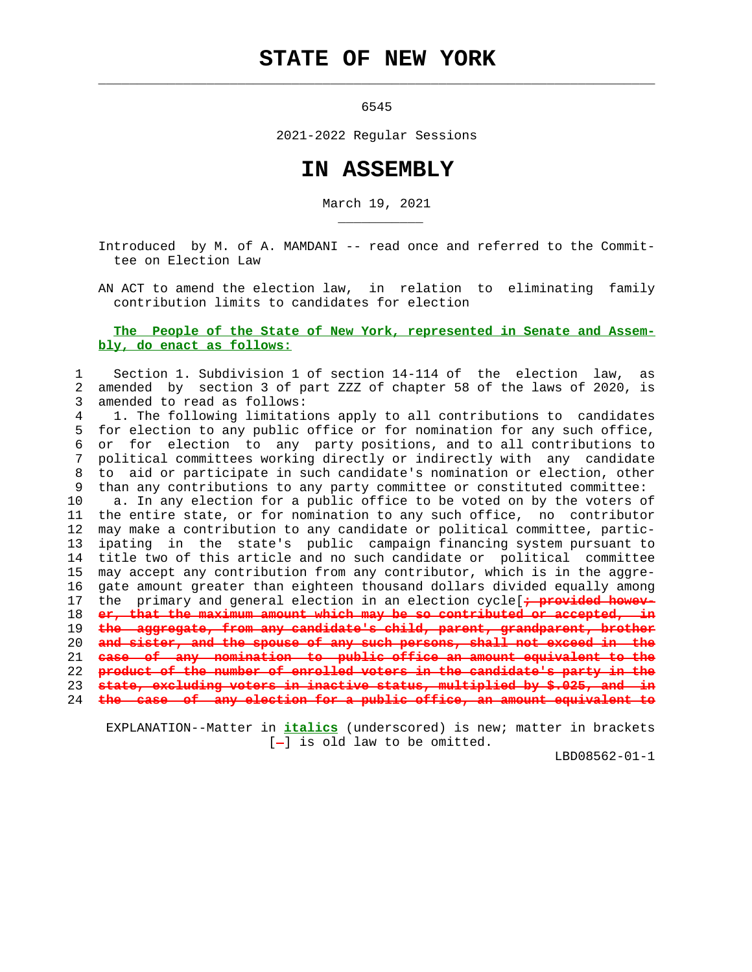# **STATE OF NEW YORK**

6545

 $\mathcal{L}_\text{max} = \frac{1}{2} \sum_{i=1}^{n} \frac{1}{2} \sum_{i=1}^{n} \frac{1}{2} \sum_{i=1}^{n} \frac{1}{2} \sum_{i=1}^{n} \frac{1}{2} \sum_{i=1}^{n} \frac{1}{2} \sum_{i=1}^{n} \frac{1}{2} \sum_{i=1}^{n} \frac{1}{2} \sum_{i=1}^{n} \frac{1}{2} \sum_{i=1}^{n} \frac{1}{2} \sum_{i=1}^{n} \frac{1}{2} \sum_{i=1}^{n} \frac{1}{2} \sum_{i=1}^{n} \frac{1$ 

\_\_\_\_\_\_\_\_\_\_\_

2021-2022 Regular Sessions

## **IN ASSEMBLY**

March 19, 2021

 Introduced by M. of A. MAMDANI -- read once and referred to the Commit tee on Election Law

 AN ACT to amend the election law, in relation to eliminating family contribution limits to candidates for election

#### **The People of the State of New York, represented in Senate and Assem bly, do enact as follows:**

#### 1 Section 1. Subdivision 1 of section 14-114 of the election law, as 2 amended by section 3 of part ZZZ of chapter 58 of the laws of 2020, is 3 amended to read as follows:

 4 1. The following limitations apply to all contributions to candidates 5 for election to any public office or for nomination for any such office, 6 or for election to any party positions, and to all contributions to 7 political committees working directly or indirectly with any candidate 8 to aid or participate in such candidate's nomination or election, other 9 than any contributions to any party committee or constituted committee:

 10 a. In any election for a public office to be voted on by the voters of 11 the entire state, or for nomination to any such office, no contributor 12 may make a contribution to any candidate or political committee, partic- 13 ipating in the state's public campaign financing system pursuant to 14 title two of this article and no such candidate or political committee 15 may accept any contribution from any contributor, which is in the aggre- 16 gate amount greater than eighteen thousand dollars divided equally among 17 the primary and general election in an election cycle[**; provided howev-** 18 **er, that the maximum amount which may be so contributed or accepted, in** 19 **the aggregate, from any candidate's child, parent, grandparent, brother** 20 **and sister, and the spouse of any such persons, shall not exceed in the** 21 **case of any nomination to public office an amount equivalent to the** 22 **product of the number of enrolled voters in the candidate's party in the** 23 **state, excluding voters in inactive status, multiplied by \$.025, and in**

24 **the case of any election for a public office, an amount equivalent to**

 EXPLANATION--Matter in **italics** (underscored) is new; matter in brackets  $[-]$  is old law to be omitted.

LBD08562-01-1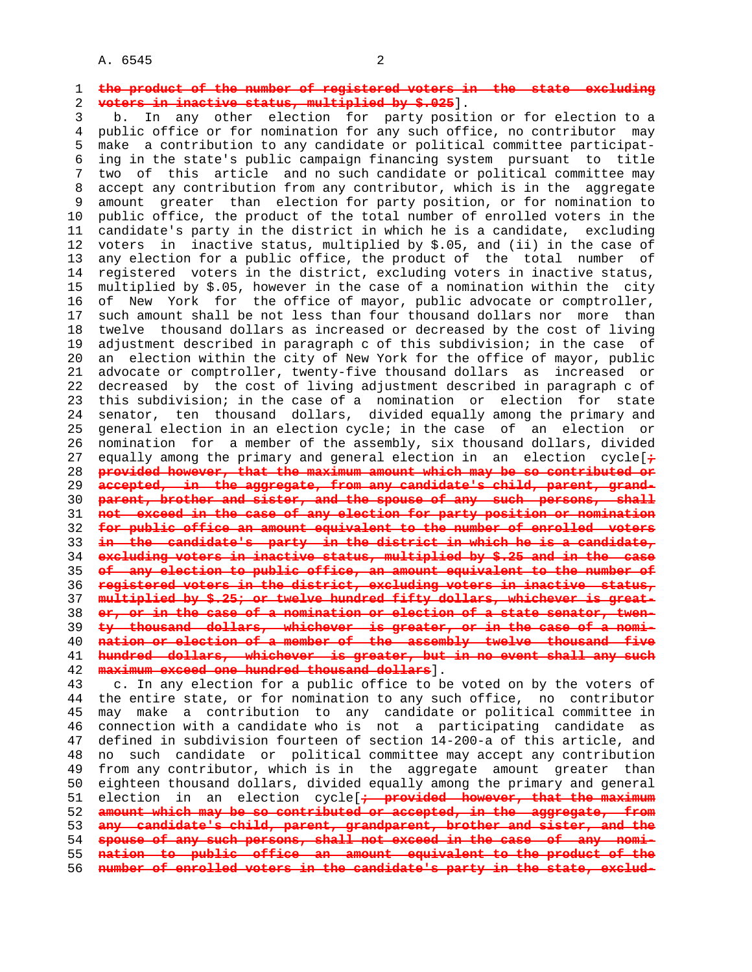### 1 **the product of the number of registered voters in the state excluding** 2 **voters in inactive status, multiplied by \$.025**].

 3 b. In any other election for party position or for election to a 4 public office or for nomination for any such office, no contributor may 5 make a contribution to any candidate or political committee participat- 6 ing in the state's public campaign financing system pursuant to title 7 two of this article and no such candidate or political committee may 8 accept any contribution from any contributor, which is in the aggregate 9 amount greater than election for party position, or for nomination to 10 public office, the product of the total number of enrolled voters in the 11 candidate's party in the district in which he is a candidate, excluding 12 voters in inactive status, multiplied by \$.05, and (ii) in the case of 13 any election for a public office, the product of the total number of 14 registered voters in the district, excluding voters in inactive status, 15 multiplied by \$.05, however in the case of a nomination within the city 16 of New York for the office of mayor, public advocate or comptroller, 17 such amount shall be not less than four thousand dollars nor more than 18 twelve thousand dollars as increased or decreased by the cost of living 19 adjustment described in paragraph c of this subdivision; in the case of 20 an election within the city of New York for the office of mayor, public 21 advocate or comptroller, twenty-five thousand dollars as increased or 22 decreased by the cost of living adjustment described in paragraph c of 23 this subdivision; in the case of a nomination or election for state 24 senator, ten thousand dollars, divided equally among the primary and 25 general election in an election cycle; in the case of an election or 26 nomination for a member of the assembly, six thousand dollars, divided 27 equally among the primary and general election in an election cycle[**;** 28 **provided however, that the maximum amount which may be so contributed or** 29 **accepted, in the aggregate, from any candidate's child, parent, grand-** 30 **parent, brother and sister, and the spouse of any such persons, shall** 31 **not exceed in the case of any election for party position or nomination** 32 **for public office an amount equivalent to the number of enrolled voters** 33 **in the candidate's party in the district in which he is a candidate,** 34 **excluding voters in inactive status, multiplied by \$.25 and in the case** 35 **of any election to public office, an amount equivalent to the number of** 36 **registered voters in the district, excluding voters in inactive status,** 37 **multiplied by \$.25; or twelve hundred fifty dollars, whichever is great-** 38 **er, or in the case of a nomination or election of a state senator, twen-** 39 **ty thousand dollars, whichever is greater, or in the case of a nomi-** 40 **nation or election of a member of the assembly twelve thousand five** 41 **hundred dollars, whichever is greater, but in no event shall any such** 42 **maximum exceed one hundred thousand dollars**].

 43 c. In any election for a public office to be voted on by the voters of 44 the entire state, or for nomination to any such office, no contributor 45 may make a contribution to any candidate or political committee in 46 connection with a candidate who is not a participating candidate as 47 defined in subdivision fourteen of section 14-200-a of this article, and 48 no such candidate or political committee may accept any contribution 49 from any contributor, which is in the aggregate amount greater than 50 eighteen thousand dollars, divided equally among the primary and general 51 election in an election cycle[**; provided however, that the maximum** 52 **amount which may be so contributed or accepted, in the aggregate, from** 53 **any candidate's child, parent, grandparent, brother and sister, and the** 54 **spouse of any such persons, shall not exceed in the case of any nomi-** 55 **nation to public office an amount equivalent to the product of the** 56 **number of enrolled voters in the candidate's party in the state, exclud-**